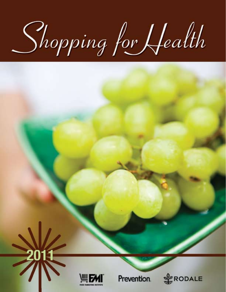Shopping for Health



 $\Rightarrow$ 

Prevention.

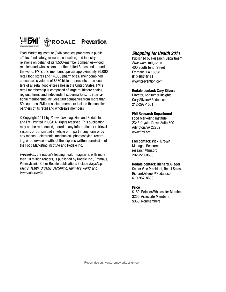

Food Marketing Institute (FMI) conducts programs in public affairs, food safety, research, education, and industry relations on behalf of its 1,500-member companies—food retailers and wholesalers—in the United States and around the world. FMI's U.S. members operate approximately 26,000 retail food stores and 14,000 pharmacies. Their combined annual sales volume of \$680 billion represents three-quarters of all retail food-store sales in the United States. FMI's retail membership is composed of large multistore chains, regional firms, and independent supermarkets. Its international membership includes 200 companies from more than 50 countries. FMI's associate members include the supplier partners of its retail and wholesale members

© Copyright 2011 by Prevention magazine and Rodale Inc., and FMI. Printed in USA. All rights reserved. This publication may not be reproduced, stored in any information or retrieval system, or transmitted in whole or in part in any form or by any means—electronic, mechanical, photocopying, recording, or otherwise—without the express written permission of the Food Marketing Institute and Rodale Inc.

Prevention, the nation's leading health magazine, with more than 10 million readers, is published by Rodale Inc., Emmaus, Pennsylvania. Other Rodale publications include Bicycling, Men's Health, Organic Gardening, Runner's World, and Women's Health.

## **Shopping for Health 2011**

Published by Research Department Prevention magazine 400 South Tenth Street Emmaus, PA 18098 610-967-5171 www.prevention.com

## **Rodale contact: Cary Silvers**

Director, Consumer Insights Cary.Silvers@Rodale.com 212-297-1551

## **FMI Research Department**

Food Marketing Institute 2345 Crystal Drive, Suite 800 Arlington, VA 22202 www.fmi.org

## **FMI contact: Vicki Brown**

Manager, Research research@fmi.org 202-220-0600

## **Rodale contact: Richard Alleger**

Senior Vice President, Retail Sales Richard.Alleger@Rodale.com 610-967-8639

## **Price**

\$150: Retailer/Wholesaler Members \$250: Associate Members \$350: Nonmembers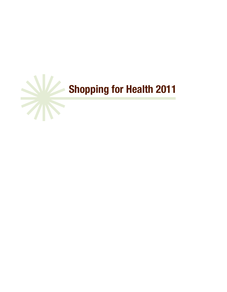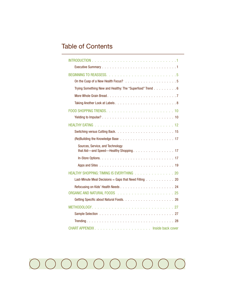## Table of Contents

| Trying Something New and Healthy: The "Superfood" Trend 6                         |
|-----------------------------------------------------------------------------------|
|                                                                                   |
|                                                                                   |
|                                                                                   |
|                                                                                   |
|                                                                                   |
|                                                                                   |
|                                                                                   |
| Sources, Service, and Technology<br>that Aid-and Speed-Healthy Shopping. 17       |
|                                                                                   |
|                                                                                   |
| HEALTHY SHOPPING: TIMING IS EVERYTHING 20                                         |
| Last-Minute Meal Decisions = Gaps that Need Filling $\ldots \ldots \ldots \ldots$ |
|                                                                                   |
|                                                                                   |
|                                                                                   |
|                                                                                   |
|                                                                                   |
|                                                                                   |
|                                                                                   |

#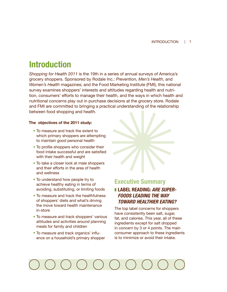## **Introduction**

*Shopping for Health 2011* is the 19th in a series of annual surveys of America's grocery shoppers. Sponsored by Rodale Inc.: *Prevention, Men's Health,* and *Women's Health* magazines; and the Food Marketing Institute (FMI), this national survey examines shoppers' interests and attitudes regarding health and nutrition, consumers' efforts to manage their health, and the ways in which health and nutritional concerns play out in purchase decisions at the grocery store. Rodale and FMI are committed to bringing a practical understanding of the relationship between food shopping and health.

## **The objectives of the 2011 study:**

- To measure and track the extent to which primary shoppers are attempting to maintain good personal health
- To profile shoppers who consider their food intake successful and are satisfied with their health and weight
- To take a closer look at male shoppers and their efforts in the area of health and wellness
- To understand how people try to achieve healthy eating in terms of avoiding, substituting, or limiting foods
- To measure and track the healthfulness of shoppers' diets and what's driving the move toward health maintenance in-store
- To measure and track shoppers' various attitudes and activities around planning meals for family and children
- To measure and track organics' influence on a household's primary shopper



## **Executive Summary**

## ❚ **LABEL READING: ARE SUPER-FOODS LEADING THE WAY TOWARD HEALTHIER EATING?**

The top label concerns for shoppers have consistently been salt, sugar, fat, and calories. This year, all of these ingredients except for salt dropped in concern by 3 or 4 points. The main consumer approach to these ingredients is to minimize or avoid their intake.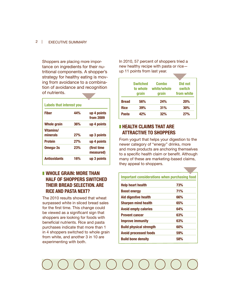### 2 | EXECUTIVE SUMMARY

Shoppers are placing more importance on ingredients for their nutritional components. A shopper's strategy for healthy eating is moving from avoidance to a combination of avoidance and recognition of nutrients.

| Fiber               | 44%        | up 4 points |
|---------------------|------------|-------------|
|                     |            | from 2009   |
| Whole grain         | 36%        | up 4 points |
| Vitamins/           |            |             |
| minerals            | 27%        | up 3 points |
| <b>Protein</b>      | 27%        | up 4 points |
| Omega-3s            | <b>23%</b> | (first time |
|                     |            | measured)   |
| <b>Antioxidants</b> | 16%        | up 3 points |

## ■ WHOLE GRAIN: MORE THAN **HALF OF SHOPPERS SWITCHED THEIR BREAD SELECTION. ARE RICE AND PASTA NEXT?**

The 2010 results showed that wheat surpassed white in sliced bread sales for the first time. This change could be viewed as a significant sign that shoppers are looking for foods with beneficial nutrients. Rice and pasta purchases indicate that more than 1 in 4 shoppers switched to whole grain from white, and another 3 in 10 are experimenting with both.

In 2010, 57 percent of shoppers tried a new healthy recipe with pasta or rice up 11 points from last year.

|              | <b>Switched</b><br>to whole<br>grain | <b>Combo</b><br>white/whole<br>grain | Did not<br>switch<br>from white |
|--------------|--------------------------------------|--------------------------------------|---------------------------------|
| <b>Bread</b> | 56%                                  | 24%                                  | <b>20%</b>                      |
| <b>Rice</b>  | 39%                                  | 31%                                  | 30%                             |
| Pasta        | 42%                                  | <b>32%</b>                           | 27%                             |

## ❚ **HEALTH CLAIMS THAT ARE ATTRACTIVE TO SHOPPERS**

From yogurt that helps your digestion to the newer category of "energy" drinks, more and more products are anchoring themselves to a specific health claim or benefit. Although many of these are marketing-based claims, they appeal to shoppers.

| <b>Important considerations when purchasing food</b> |     |  |  |  |
|------------------------------------------------------|-----|--|--|--|
| Help heart health                                    | 73% |  |  |  |
| <b>Boost energy</b>                                  | 71% |  |  |  |
| <b>Aid digestive health</b>                          | 66% |  |  |  |
| <b>Sharpen mind health</b>                           | 65% |  |  |  |
| <b>Avoid empty calories</b>                          | 64% |  |  |  |
| <b>Prevent cancer</b>                                | 63% |  |  |  |
| <b>Improve immunity</b>                              | 63% |  |  |  |
| <b>Build physical strength</b>                       | 60% |  |  |  |
| <b>Avoid processed foods</b>                         | 59% |  |  |  |
| <b>Build bone density</b>                            | 58% |  |  |  |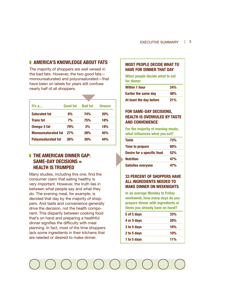## ■ **AMERICA'S KNOWLEDGE ABOUT FATS**

The majority of shoppers are well versed in the bad fats. However, the two good fats monounsaturated and polyunsaturated—that have been on labels for years still confuse nearly half of all shoppers.

| lt's a…                    | Good fat | <b>Bad fat</b> | <b>Unsure</b> |
|----------------------------|----------|----------------|---------------|
| <b>Saturated fat</b>       | 6%       | 74%            | <b>20%</b>    |
| <b>Trans fat</b>           | 7%       | 75%            | 18%           |
| Omega-3 fat                | 79%      | 3%             | 18%           |
| <b>Monounsaturated fat</b> | 27%      | 28%            | 45%           |
| <b>Polyunsaturated fat</b> | 26%      | 30%            | 44%           |

## ❚ **THE AMERICAN DINNER GAP: SAME-DAY DECISIONS = HEALTH IS TRUMPED**

Many studies, including this one, find the consumer claim that eating healthy is very important. However, the truth lies in between what people say and what they do. The evening meal, for example, is decided that day by the majority of shoppers. And taste and convenience generally drive the decision, not the health component. This disparity between cooking food that's on hand and preparing a healthful dinner signifies the difficulty with meal planning. In fact, most of the time shoppers lack some ingredients in their kitchens that are needed or desired to make dinner.

## **MOST PEOPLE DECIDE WHAT TO HAVE FOR DINNER THAT DAY**

**When people decide what to eat for dinner**

| <b>Within 1 hour</b>        | <b>24%</b> |
|-----------------------------|------------|
| <b>Earlier the same day</b> | 48%        |
| At least the day before     | 21%        |

## **FOR SAME-DAY DECISIONS, HEALTH IS OVERRULED BY TASTE AND CONVENIENCE**

**For the majority of evening meals, what influences what you eat?**

| <b>Taste</b>               | 73% |
|----------------------------|-----|
| Time to prepare            | 60% |
| Desire for a specific food | 52% |
| <b>Nutrition</b>           | 47% |
| <b>Satisfies everyone</b>  | 47% |

## **33 PERCENT OF SHOPPERS HAVE ALL INGREDIENTS NEEDED TO MAKE DINNER ON WEEKNIGHTS**

**In an average Monday to Friday workweek, how many days do you prepare dinner with ingredients or items you already have on hand?**

| 5 of 5 days | 33%        |
|-------------|------------|
| 4 or 5 days | 20%        |
| 3 to 5 days | 16%        |
| 2 to 5 days | 10%        |
| 1 to 5 days | <b>11%</b> |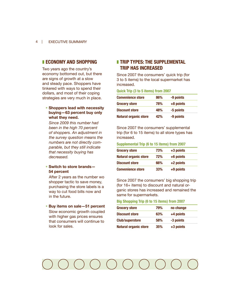## ❚ **ECONOMY AND SHOPPING**

Two years ago the country's economy bottomed out, but there are signs of growth at a slow and steady pace. Shoppers have tinkered with ways to spend their dollars, and most of their coping strategies are very much in place.

## **• Shoppers lead with necessity buying—63 percent buy only what they need.**

 *Since 2009 this number had been in the high 70 percent of shoppers. An adjustment in the survey question means the numbers are not directly comparable, but they still indicate that necessity buying has decreased.*

## **• Switch to store brands— 54 percent**

 After 2 years as the number wo shopper tactic to save money, purchasing the store labels is a way to cut food bills now and in the future.

## **• Buy items on sale—51 percent** Slow economic growth coupled with higher gas prices ensures that consumers will continue to look for sales.

## ❚ **TRIP TYPES: THE SUPPLEMENTAL TRIP HAS INCREASED**

Since 2007 the consumers' quick trip (for 3 to 5 items) to the local supermarket has increased.

**Quick Trip (3 to 5 items) from 2007**

| <b>Convenience store</b>     | 86% | -9 points |
|------------------------------|-----|-----------|
| <b>Grocery store</b>         | 78% | +8 points |
| <b>Discount store</b>        | 48% | -5 points |
| <b>Natural organic store</b> | 42% | -9 points |

Since 2007 the consumers' supplemental trip (for 6 to 15 items) to all store types has increased.

## **Supplemental Trip (6 to 15 items) from 2007**

| <b>Grocery store</b>         | 73%        | +3 points |  |
|------------------------------|------------|-----------|--|
| <b>Natural organic store</b> | <b>72%</b> | +6 points |  |
| <b>Discount store</b>        | 66%        | +2 points |  |
| <b>Convenience store</b>     | 33%        | +9 points |  |

Since 2007 the consumers' big shopping trip (for 16+ items) to discount and natural organic stores has increased and remained the same for supermarkets.

### **Big Shopping Trip (6 to 15 items) from 2007**

| <b>Grocery store</b>         | 79% | no change |  |
|------------------------------|-----|-----------|--|
| <b>Discount store</b>        | 63% | +4 points |  |
| <b>Club/superstore</b>       | 58% | -3 points |  |
| <b>Natural organic store</b> | 35% | +3 points |  |

#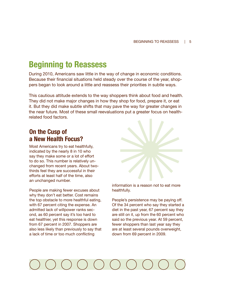## **Beginning to Reassess**

During 2010, Americans saw little in the way of change in economic conditions. Because their financial situations held steady over the course of the year, shoppers began to look around a little and reassess their priorities in subtle ways.

This cautious attitude extends to the way shoppers think about food and health. They did not make major changes in how they shop for food, prepare it, or eat it. But they did make subtle shifts that may pave the way for greater changes in the near future. Most of these small reevaluations put a greater focus on healthrelated food factors.

## **On the Cusp of a New Health Focus?**

Most Americans try to eat healthfully, indicated by the nearly 8 in 10 who say they make some or a lot of effort to do so. This number is relatively unchanged from recent years. About twothirds feel they are successful in their efforts at least half of the time, also an unchanged number.

People are making fewer excuses about why they don't eat better. Cost remains the top obstacle to more healthful eating, with 67 percent citing the expense. An admitted lack of willpower ranks second, as 60 percent say it's too hard to eat healthier, yet this response is down from 67 percent in 2007. Shoppers are also less likely than previously to say that a lack of time or too much conflicting



information is a reason not to eat more healthfully.

People's persistence may be paying off. Of the 34 percent who say they started a diet in the past year, 67 percent say they are still on it, up from the 60 percent who said so the previous year. At 59 percent, fewer shoppers than last year say they are at least several pounds overweight, down from 69 percent in 2009.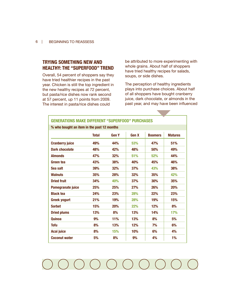## **TRYING SOMETHING NEW AND HEALTHY: THE "SUPERFOOD" TREND**

Overall, 54 percent of shoppers say they have tried healthier recipes in the past year. Chicken is still the top ingredient in the new healthy recipes at 72 percent, but pasta/rice dishes now rank second at 57 percent, up 11 points from 2009. The interest in pasta/rice dishes could

be attributed to more experimenting with whole grains. About half of shoppers have tried healthy recipes for salads, soups, or side dishes.

The perception of healthy ingredients plays into purchase choices. About half of all shoppers have bought cranberry juice, dark chocolate, or almonds in the past year, and may have been influenced

| <b>GENERATIONS MAKE DIFFERENT "SUPERFOOD" PURCHASES</b> |              |              |              |                |                |  |
|---------------------------------------------------------|--------------|--------------|--------------|----------------|----------------|--|
| % who bought an item in the past 12 months              |              |              |              |                |                |  |
|                                                         | <b>Total</b> | <b>Gen Y</b> | <b>Gen X</b> | <b>Boomers</b> | <b>Matures</b> |  |
| <b>Cranberry juice</b>                                  | 49%          | 44%          | 53%          | 47%            | 51%            |  |
| Dark chocolate                                          | 48%          | 42%          | 48%          | 50%            | 49%            |  |
| <b>Almonds</b>                                          | 47%          | 32%          | 51%          | 52%            | 44%            |  |
| Green tea                                               | 43%          | 38%          | 40%          | 45%            | 46%            |  |
| Sea salt                                                | 39%          | 32%          | 37%          | 43%            | 38%            |  |
| <b>Walnuts</b>                                          | 35%          | <b>28%</b>   | <b>32%</b>   | 35%            | 42%            |  |
| <b>Dried fruit</b>                                      | 34%          | 40%          | 37%          | 30%            | 35%            |  |
| Pomegranate juice                                       | 25%          | 25%          | 27%          | 26%            | 20%            |  |
| <b>Black tea</b>                                        | 24%          | 23%          | 28%          | 22%            | 23%            |  |
| <b>Greek yogurt</b>                                     | 21%          | 19%          | <b>28%</b>   | 19%            | 15%            |  |
| <b>Sorbet</b>                                           | 15%          | 20%          | 22%          | 12%            | 8%             |  |
| <b>Dried plums</b>                                      | 13%          | 8%           | 13%          | 14%            | 17%            |  |
| <b>Quinoa</b>                                           | 9%           | 11%          | 13%          | 8%             | 5%             |  |
| <b>Tofu</b>                                             | 8%           | 13%          | 12%          | 7%             | 6%             |  |
| Acai juice                                              | 8%           | 15%          | 10%          | 6%             | 4%             |  |
| <b>Coconut water</b>                                    | 5%           | 8%           | 9%           | 4%             | 1%             |  |

 $( ) ( ) ( )$  $($   $)$   $($   $)$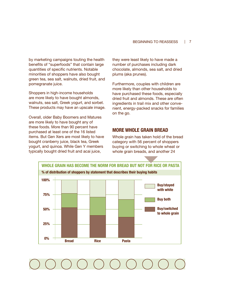by marketing campaigns touting the health benefits of "superfoods" that contain large quantities of specific nutrients. Notable minorities of shoppers have also bought green tea, sea salt, walnuts, dried fruit, and pomegranate juice.

Shoppers in high-income households are more likely to have bought almonds, walnuts, sea salt, Greek yogurt, and sorbet. These products may have an upscale image.

Overall, older Baby Boomers and Matures are more likely to have bought any of these foods. More than 90 percent have purchased at least one of the 16 listed items. But Gen Xers are most likely to have bought cranberry juice, black tea, Greek yogurt, and quinoa. While Gen Y members typically bought dried fruit and acai juice,

they were least likely to have made a number of purchases including dark chocolate, almonds, sea salt, and dried plums (aka prunes).

Furthermore, couples with children are more likely than other households to have purchased these foods, especially dried fruit and almonds. These are often ingredients in trail mix and other convenient, energy-packed snacks for families on the go.

## **MORE WHOLE GRAIN BREAD**

Whole grain has taken hold of the bread category with 56 percent of shoppers buying or switching to whole wheat or whole grain breads, and another 24

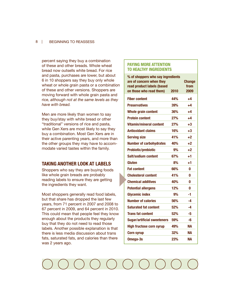### 8 | BEGINNING TO REASSESS

percent saying they buy a combination of these and other breads. Whole wheat bread now outsells white bread. For rice and pasta, purchases are lower, but about 6 in 10 shoppers say they buy only whole wheat or whole grain pasta or a combination of these and other versions. Shoppers are moving forward with whole grain pasta and rice, *although not at the same levels as they have with bread.*

Men are more likely than women to say they buy/stay with white bread or other "traditional" versions of rice and pasta, while Gen Xers are most likely to say they buy a combination. Most Gen Xers are in their active parenting years, and more than the other groups they may have to accommodate varied tastes within the family.

## **TAKING ANOTHER LOOK AT LABELS**

Shoppers who say they are buying foods like whole grain breads are probably reading labels to ensure they are getting the ingredients they want.

Most shoppers generally read food labels, but that share has dropped the last few years, from 71 percent in 2007 and 2008 to 67 percent in 2009, and 64 percent in 2010. This could mean that people feel they know enough about the products they regularly buy that they do not need to read those labels. Another possible explanation is that there is less media discussion about trans fats, saturated fats, and calories than there was 2 years ago.

## **PAYING MORE ATTENTION TO HEALTHY INGREDIENTS**

| % of shoppers who say ingredients<br>are of concern when they<br>read product labels (based | 2010 | <b>Change</b><br>from<br>2009 |
|---------------------------------------------------------------------------------------------|------|-------------------------------|
| on those who read them)                                                                     |      |                               |
| <b>Fiber content</b>                                                                        | 44%  | $+4$                          |
| <b>Preservatives</b>                                                                        | 39%  | +4                            |
| <b>Whole grain content</b>                                                                  | 36%  | +4                            |
| <b>Protein content</b>                                                                      | 27%  | $+4$                          |
| <b>Vitamin/mineral content</b>                                                              | 27%  | $+3$                          |
| <b>Antioxidant claims</b>                                                                   | 16%  | $+3$                          |
| <b>Serving size</b>                                                                         | 41%  | $+2$                          |
| <b>Number of carbohydrates</b>                                                              | 40%  | $+2$                          |
| <b>Probiotic/prebiotic</b>                                                                  | 9%   | $+2$                          |
| Salt/sodium content                                                                         | 67%  | $+1$                          |
| Gluten                                                                                      | 8%   | $+1$                          |
| <b>Fat content</b>                                                                          | 66%  | n                             |
| <b>Cholesterol content</b>                                                                  | 41%  | U                             |
| <b>Chemical additives</b>                                                                   | 40%  | 0                             |
| <b>Potential allergens</b>                                                                  | 12%  | O                             |
| <b>Glycemic index</b>                                                                       | 9%   | $-1$                          |
| <b>Number of calories</b>                                                                   | 56%  | $-4$                          |
| <b>Saturated fat content</b>                                                                | 52%  | -4                            |
| <b>Trans fat content</b>                                                                    | 52%  | $-5$                          |
| <b>Sugar/artificial sweeteners</b>                                                          | 59%  | -6                            |
| <b>High fructose corn syrup</b>                                                             | 49%  | NА                            |
| <b>Corn syrup</b>                                                                           | 32%  | NА                            |
| Omega-3s                                                                                    | 23%  | <b>NA</b>                     |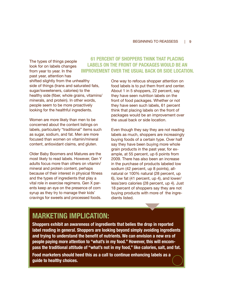The types of things people look for on labels changes from year to year. In the past year, attention has shifted slightly from the unhealthy side of things (trans and saturated fats, sugar/sweeteners, calories) to the healthy side (fiber, whole grains, vitamins/ minerals, and protein). In other words, people seem to be more proactively looking for the healthful ingredients.

Women are more likely than men to be concerned about the content listings on labels, particularly "traditional" items such as sugar, sodium, and fat. Men are more focused than women on vitamin/mineral content, antioxidant claims, and gluten.

Older Baby Boomers and Matures are the most likely to read labels. However, Gen Y adults focus more than others on vitamin/ mineral and protein content, perhaps because of their interest in physical fitness and the types of ingredients that play a vital role in exercise regimens. Gen X parents keep an eye on the presence of corn syrup as they try to manage their kids' cravings for sweets and processed foods.

## **61 PERCENT OF SHOPPERS THINK THAT PLACING LABELS ON THE FRONT OF PACKAGES WOULD BE AN IMPROVEMENT OVER THE USUAL BACK OR SIDE LOCATION.**

One way to refocus shopper attention on food labels is to put them front and center. About 1 in 5 shoppers, 22 percent, say they have seen nutrition labels on the front of food packages. Whether or not they have seen such labels, 61 percent think that placing labels on the front of packages would be an improvement over the usual back or side location.

Even though they say they are not reading labels as much, shoppers are increasingly buying foods of a certain type. Over half say they have been buying more whole grain products in the past year, for example, at 55 percent, up 6 points from 2009. There has also been an increase in the purchase of products labeled low sodium (42 percent, up 8 points), allnatural or 100% natural (28 percent, up 6), low fat (41 percent, up 4), and lower/ less/zero calories (28 percent, up 4). Just 18 percent of shoppers say they are not buying products with more of the ingredients listed.

## **MARKETING IMPLICATION:**

**Shoppers exhibit an awareness of ingredients that belies the drop in reported label reading in general. Shoppers are looking beyond simply avoiding ingredients and trying to understand the benefit of nutrients. We can envision a new era of people paying more attention to "what's in my food." However, this will encompass the traditional attitude of "what's not in my food," like calories, salt, and fat.**

**Food marketers should heed this as a call to continue enhancing labels as a guide to healthy choices.**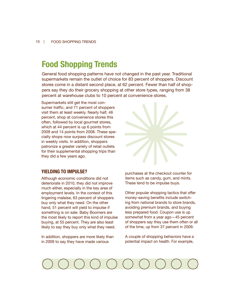## **Food Shopping Trends**

General food shopping patterns have not changed in the past year. Traditional supermarkets remain the outlet of choice for 83 percent of shoppers. Discount stores come in a distant second place, at 62 percent. Fewer than half of shoppers say they do their grocery shopping at other store types, ranging from 38 percent at warehouse clubs to 10 percent at convenience stores.

Supermarkets still get the most consumer traffic, and 71 percent of shoppers visit them at least weekly. Nearly half, 46 percent, shop at convenience stores this often, followed by local gourmet stores, which at 44 percent is up 6 points from 2009 and 14 points from 2008. These specialty shops now surpass discount stores in weekly visits. In addition, shoppers patronize a greater variety of retail outlets for their supplemental shopping trips than they did a few years ago.



## **YIELDING TO IMPULSE?**

Although economic conditions did not deteriorate in 2010, they did not improve much either, especially in the key area of employment levels. In the context of this lingering malaise, 63 percent of shoppers buy only what they need. On the other hand, 51 percent will yield to impulse if something is on sale. Baby Boomers are the most likely to report this kind of impulse buying, at 55 percent. They are also least likely to say they buy only what they need.

In addition, shoppers are more likely than in 2009 to say they have made various

purchases at the checkout counter for items such as candy, gum, and mints. These tend to be impulse buys.

Other popular shopping tactics that offer money-saving benefits include switching from national brands to store brands, avoiding premium brands, and buying less prepared food. Coupon use is up somewhat from a year ago—45 percent of shoppers say they use them often or all of the time, up from 37 percent in 2009.

A couple of shopping behaviors have a potential impact on health. For example,

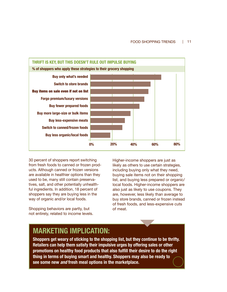

30 percent of shoppers report switching from fresh foods to canned or frozen products. Although canned or frozen versions are available in healthier options than they used to be, many still contain preservatives, salt, and other potentially unhealthful ingredients. In addition, 18 percent of shoppers say they are buying less in the way of organic and/or local foods.

Shopping behaviors are partly, but not entirely, related to income levels. Higher-income shoppers are just as likely as others to use certain strategies, including buying only what they need, buying sale items not on their shopping list, and buying less prepared or organic/ local foods. Higher-income shoppers are also just as likely to use coupons. They are, however, less likely than average to buy store brands, canned or frozen instead of fresh foods, and less-expensive cuts of meat.

## **MARKETING IMPLICATION:**

**Shoppers get weary of sticking to the shopping list, but they continue to be thrifty. Retailers can help them satisfy their impulsive urges by offering sales or other promotions on healthy food products that also fulfill their desire to do the right thing in terms of buying smart and healthy. Shoppers may also be ready to see some new and fresh meal options in the marketplace.**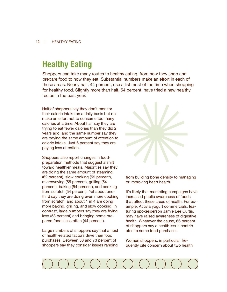## **Healthy Eating**

Shoppers can take many routes to healthy eating, from how they shop and prepare food to how they eat. Substantial numbers make an effort in each of these areas. Nearly half, 44 percent, use a list most of the time when shopping for healthy food. Slightly more than half, 54 percent, have tried a new healthy recipe in the past year.

Half of shoppers say they don't monitor their calorie intake on a daily basis but do make an effort not to consume too many calories at a time. About half say they are trying to eat fewer calories than they did 2 years ago, and the same number say they are paying the same amount of attention to calorie intake. Just 6 percent say they are paying less attention.

Shoppers also report changes in foodpreparation methods that suggest a shift toward healthier meals. Majorities say they are doing the same amount of steaming (62 percent), slow cooking (59 percent), microwaving (55 percent), grilling (54 percent), baking (54 percent), and cooking from scratch (54 percent). Yet about onethird say they are doing even more cooking from scratch, and about 1 in 4 are doing more baking, grilling, and slow cooking. In contrast, large numbers say they are frying less (53 percent) and bringing home prepared foods less often (44 percent).

Large numbers of shoppers say that a host of health-related factors drive their food purchases. Between 58 and 73 percent of shoppers say they consider issues ranging



from building bone density to managing or improving heart health.

It's likely that marketing campaigns have increased public awareness of foods that affect these areas of health. For example, Activia yogurt commercials, featuring spokesperson Jamie Lee Curtis, may have raised awareness of digestive health. Whatever the cause, 66 percent of shoppers say a health issue contributes to some food purchases.

Women shoppers, in particular, frequently cite concern about two health

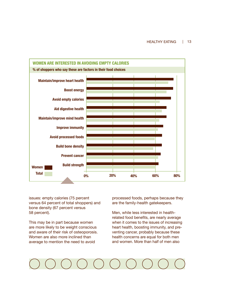

issues: empty calories (75 percent versus 64 percent of total shoppers) and bone density (67 percent versus 58 percent).

This may be in part because women are more likely to be weight conscious and aware of their risk of osteoporosis. Women are also more inclined than average to mention the need to avoid

processed foods, perhaps because they are the family-health gatekeepers.

Men, while less interested in healthrelated food benefits, are nearly average when it comes to the issues of increasing heart health, boosting immunity, and preventing cancer, probably because these health concerns are equal for both men and women. More than half of men also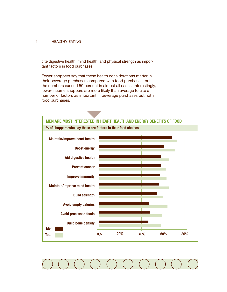### 14 | HEALTHY EATING

cite digestive health, mind health, and physical strength as important factors in food purchases.

Fewer shoppers say that these health considerations matter in their beverage purchases compared with food purchases, but the numbers exceed 50 percent in almost all cases. Interestingly, lower-income shoppers are more likely than average to cite a number of factors as important in beverage purchases but not in food purchases.

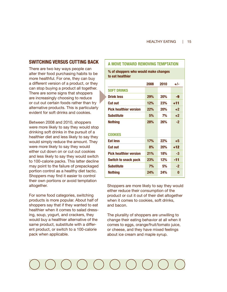## **SWITCHING VERSUS CUTTING BACK**

There are two key ways people can alter their food purchasing habits to be more healthful. For one, they can buy a different version of a product, or they can stop buying a product all together. There are some signs that shoppers are increasingly choosing to reduce or cut out certain foods rather than try alternative products. This is particularly evident for soft drinks and cookies.

Between 2008 and 2010, shoppers were more likely to say they would stop drinking soft drinks in the pursuit of a healthier diet and less likely to say they would simply reduce the amount. They were more likely to say they would either cut down on or cut out cookies and less likely to say they would switch to 100-calorie packs. This latter decline may point to the failure of prepackaged portion control as a healthy diet tactic. Shoppers may find it easier to control their own portions or avoid temptation altogether.

For some food categories, switching products is more popular. About half of shoppers say that if they wanted to eat healthier when it comes to salad dressing, soup, yogurt, and crackers, they would buy a healthier alternative of the same product, substitute with a different product, or switch to a 100-calorie pack when applicable.

### **A MOVE TOWARD REMOVING TEMPTATION**

**% of shoppers who would make changes to eat healthier**

|                               | 2008 | 2010 | +/-   |
|-------------------------------|------|------|-------|
| <b>SOFT DRINKS</b>            |      |      |       |
| <b>Drink less</b>             | 29%  | 20%  | -9    |
| Cut out                       | 12%  | 23%  | $+11$ |
| <b>Pick healthier version</b> | 22%  | 20%  | $+2$  |
| Substitute                    | 5%   | 7%   | $+2$  |
| <b>Nothing</b>                | 28%  | 26%  | $-2$  |
| <b>COOKIES</b>                |      |      |       |
| Eat less                      | 17%  | 22%  | $+5$  |
| Cut out                       | 8%   | 20%  | $+12$ |
| <b>Pick healthier version</b> | 21%  | 18%  | -3    |
| <b>Switch to snack pack</b>   | 23%  | 12%  | -11   |
| <b>Substitute</b>             | 7%   | 5%   | $-2$  |
| <b>Nothing</b>                | 24%  | 24%  | N     |

Shoppers are more likely to say they would either reduce their consumption of the product or cut it out of their diet altogether when it comes to cookies, soft drinks, and bacon.

The plurality of shoppers are unwilling to change their eating behavior at all when it comes to eggs, orange/fruit/tomato juice, or cheese, and they have mixed feelings about ice cream and maple syrup.

# $\begin{pmatrix} 1 & 1 \\ 0 & 0 \end{pmatrix} \begin{pmatrix} 1 & 1 \\ 0 & 1 \end{pmatrix}$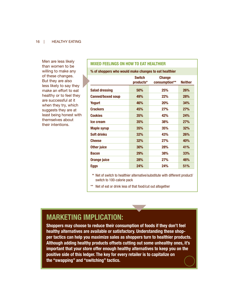### 16 | HEALTHY EATING

Men are less likely than women to be willing to make any of these changes. But they are also less likely to say they make an effort to eat healthy or to feel they are successful at it when they try, which suggests they are at least being honest with themselves about their intentions.

## **MIXED FEELINGS ON HOW TO EAT HEALTHIER**

**% of shoppers who would make changes to eat healthier**

|                          | <b>Switch</b><br>products* | <b>Change</b><br>consumption** | <b>Neither</b> |
|--------------------------|----------------------------|--------------------------------|----------------|
| <b>Salad dressing</b>    | 50%                        | 25%                            | <b>26%</b>     |
| <b>Canned/boxed soup</b> | 49%                        | 22%                            | <b>28%</b>     |
| <b>Yogurt</b>            | 46%                        | <b>20%</b>                     | 34%            |
| <b>Crackers</b>          | 45%                        | 27%                            | <b>27%</b>     |
| <b>Cookies</b>           | 35%                        | 42%                            | 24%            |
| Ice cream                | 35%                        | 38%                            | <b>27%</b>     |
| <b>Maple syrup</b>       | 35%                        | 35%                            | <b>32%</b>     |
| <b>Soft drinks</b>       | <b>32%</b>                 | 43%                            | 26%            |
| <b>Cheese</b>            | 32%                        | 27%                            | 40%            |
| <b>Other juice</b>       | 30%                        | 28%                            | 41%            |
| <b>Bacon</b>             | 29%                        | 38%                            | 33%            |
| <b>Orange juice</b>      | 28%                        | 27%                            | 46%            |
| Eggs                     | 24%                        | 24%                            | 51%            |

 **\*** Net of switch to healthier alternative/substitute with different product/ switch to 100-calorie pack

\*\* Net of eat or drink less of that food/cut out altogether

## **MARKETING IMPLICATION:**

**Shoppers may choose to reduce their consumption of foods if they don't feel healthy alternatives are available or satisfactory. Understanding these shopper tactics can help you maximize sales as shoppers turn to healthier products. Although adding healthy products offsets cutting out some unhealthy ones, it's important that your store offer enough healthy alternatives to keep you on the positive side of this ledger. The key for every retailer is to capitalize on the "swapping" and "switching" tactics.**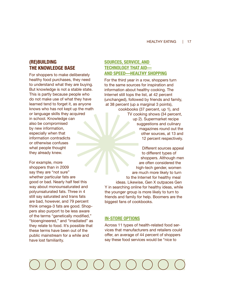## **(RE)BUILDING THE KNOWLEDGE BASE**

For shoppers to make deliberately healthy food purchases, they need to understand what they are buying. But knowledge is not a stable state. This is partly because people who do not make use of what they have learned tend to forget it, as anyone knows who has not kept up the math or language skills they acquired in school. Knowledge can also be compromised by new information, especially when that information contradicts or otherwise confuses what people thought they already knew.

For example, more shoppers than in 2009 say they are "not sure" whether particular fats are good or bad. Nearly half feel this way about monounsaturated and polyunsaturated fats. Three in 4 still say saturated and trans fats are bad, however, and 79 percent think omega-3 fats are good. Shoppers also purport to be less aware of the terms "genetically modified," "bioengineered," and "irradiated" as they relate to food. It's possible that these terms have been out of the public mainstream for a while and have lost familiarity.

## **SOURCES, SERVICE, AND TECHNOLOGY THAT AID— AND SPEED—HEALTHY SHOPPING**

For the third year in a row, shoppers turn to the same sources for inspiration and information about healthy cooking. The Internet still tops the list, at 42 percent (unchanged), followed by friends and family, at 38 percent (up a marginal 3 points),

> cookbooks (37 percent, up 1), and TV cooking shows (34 percent, up 2). Supermarket recipe suggestions and culinary magazines round out the other sources, at 13 and 12 percent respectively.

Different sources appeal to different types of shoppers. Although men are often considered the high-tech gender, women are much more likely to turn to the Internet for healthy meal ideas. Likewise, Gen X outpaces Gen Y in searching online for healthy ideas, while the younger group is more likely to turn to friends and family for help. Boomers are the biggest fans of cookbooks.

## **IN-STORE OPTIONS**

Across 11 types of health-related food services that manufacturers and retailers could offer, an average of 44 percent of shoppers say these food services would be "nice to

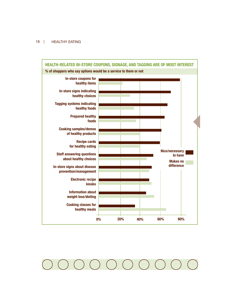### 18 | HEALTHY EATING



 $(\qquad)$  $($ e<br>Listo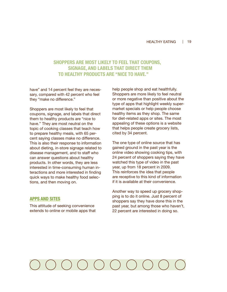## **SHOPPERS ARE MOST LIKELY TO FEEL THAT COUPONS, SIGNAGE, AND LABELS THAT DIRECT THEM TO HEALTHY PRODUCTS ARE "NICE TO HAVE."**

have" and 14 percent feel they are necessary, compared with 42 percent who feel they "make no difference."

Shoppers are most likely to feel that coupons, signage, and labels that direct them to healthy products are "nice to have." They are most neutral on the topic of cooking classes that teach how to prepare healthy meals, with 65 percent saying classes make no difference. This is also their response to information about dieting, in-store signage related to disease management, and to staff who can answer questions about healthy products. In other words, they are less interested in time-consuming human interactions and more interested in finding quick ways to make healthy food selections, and then moving on.

### **APPS AND SITES**

This attitude of seeking convenience extends to online or mobile apps that

help people shop and eat healthfully. Shoppers are more likely to feel neutral or more negative than positive about the type of apps that highlight weekly supermarket specials or help people choose healthy items as they shop. The same for diet-related apps or sites. The most appealing of these options is a website that helps people create grocery lists, cited by 34 percent.

The one type of online source that has gained ground in the past year is the online video showing cooking tips, with 24 percent of shoppers saying they have watched this type of video in the past year, up from 18 percent in 2009. This reinforces the idea that people are receptive to this kind of information if it is available at their convenience.

Another way to speed up grocery shopping is to do it online. Just 8 percent of shoppers say they have done this in the past year, but among those who haven't, 22 percent are interested in doing so.

# ) ( ) ( ) ( ) ( ) ( ) ( ) ( )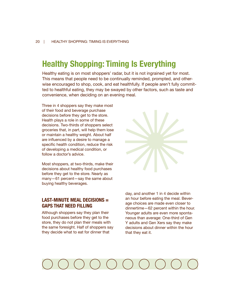## **Healthy Shopping: Timing Is Everything**

Healthy eating is on most shoppers' radar, but it is not ingrained yet for most. This means that people need to be continually reminded, prompted, and otherwise encouraged to shop, cook, and eat healthfully. If people aren't fully committed to healthful eating, they may be swayed by other factors, such as taste and convenience, when deciding on an evening meal.

Three in 4 shoppers say they make most of their food and beverage purchase decisions before they get to the store. Health plays a role in some of these decisions. Two-thirds of shoppers select groceries that, in part, will help them lose or maintain a healthy weight. About half are influenced by a desire to manage a specific health condition, reduce the risk of developing a medical condition, or follow a doctor's advice.

Most shoppers, at two-thirds, make their decisions about healthy food purchases before they get to the store. Nearly as many—61 percent—say the same about buying healthy beverages.

## **LAST-MINUTE MEAL DECISIONS = GAPS THAT NEED FILLING**

Although shoppers say they plan their food purchases before they get to the store, they do not plan their meals with the same foresight. Half of shoppers say they decide what to eat for dinner that

day, and another 1 in 4 decide within an hour before eating the meal. Beverage choices are made even closer to dinnertime—62 percent within the hour. Younger adults are even more spontaneous than average: One-third of Gen Y adults and Gen Xers say they make decisions about dinner within the hour that they eat it.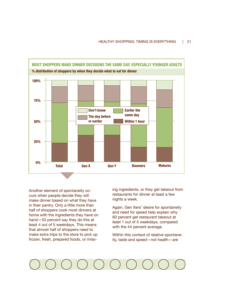

Another element of spontaneity occurs when people decide they will make dinner based on what they have in their pantry. Only a little more than half of shoppers cook most dinners at home with the ingredients they have on hand—53 percent say they do this at least 4 out of 5 weekdays. This means that almost half of shoppers need to make extra trips to the store to pick up frozen, fresh, prepared foods, or missing ingredients, or they get takeout from restaurants for dinner at least a few nights a week.

Again, Gen Xers' desire for spontaneity and need for speed help explain why 60 percent get restaurant takeout at least 1 out of 5 weekdays, compared with the 44 percent average.

Within this context of relative spontaneity, taste and speed—not health—are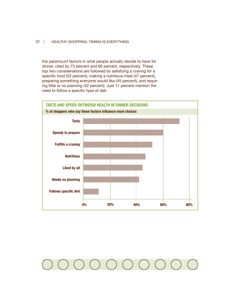## 22 | HEALTHY SHOPPING: TIMING IS EVERYTHING

the paramount factors in what people actually decide to have for dinner, cited by 73 percent and 60 percent, respectively. These top two considerations are followed by satisfying a craving for a specific food (52 percent), making a nutritious meal (47 percent), preparing something everyone would like (45 percent), and requiring little or no planning (42 percent). Just 11 percent mention the need to follow a specific type of diet.



### $\begin{pmatrix} 1 & 1 \\ 1 & 1 \end{pmatrix}$  $($  $\left($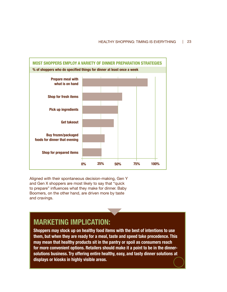

Aligned with their spontaneous decision-making, Gen Y and Gen X shoppers are most likely to say that "quick to prepare" influences what they make for dinner. Baby Boomers, on the other hand, are driven more by taste and cravings.

## **MARKETING IMPLICATION:**

**Shoppers may stock up on healthy food items with the best of intentions to use them, but when they are ready for a meal, taste and speed take precedence. This may mean that healthy products sit in the pantry or spoil as consumers reach for more convenient options. Retailers should make it a point to be in the dinnersolutions business. Try offering entire healthy, easy, and tasty dinner solutions at displays or kiosks in highly visible areas.**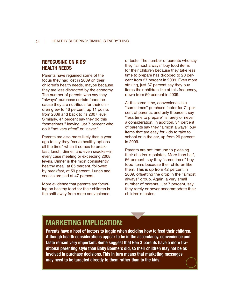## **REFOCUSING ON KIDS' HEALTH NEEDS**

Parents have regained some of the focus they had lost in 2009 on their children's health needs, maybe because they are less distracted by the economy. The number of parents who say they "always" purchase certain foods because they are nutritious for their children grew to 46 percent, up 11 points from 2009 and back to its 2007 level. Similarly, 47 percent say they do this "sometimes," leaving just 7 percent who do it "not very often" or "never."

Parents are also more likely than a year ago to say they "serve healthy options all the time" when it comes to breakfast, lunch, dinner, and even snacks—in every case meeting or exceeding 2008 levels. Dinner is the most consistently healthy meal, at 65 percent, followed by breakfast, at 59 percent. Lunch and snacks are tied at 47 percent.

More evidence that parents are focusing on healthy food for their children is the shift away from mere convenience

or taste. The number of parents who say they "almost always" buy food items for their children because they take less time to prepare has dropped to 20 percent from 27 percent in 2009. Even more striking, just 37 percent say they buy items their children like at this frequency, down from 50 percent in 2009.

At the same time, convenience is a "sometimes" purchase factor for 71 percent of parents, and only 9 percent say "less time to prepare" is rarely or never a consideration. In addition, 34 percent of parents say they "almost always" buy items that are easy for kids to take to school or in the car, up from 29 percent in 2009.

Parents are not immune to pleasing their children's palates. More than half, 56 percent, say they "sometimes" buy food items because their children like them. This is up from 42 percent in 2009, offsetting the drop in the "almost always" group. Again, a very small number of parents, just 7 percent, say they rarely or never accommodate their children's tastes.

## **MARKETING IMPLICATION:**

**Parents have a host of factors to juggle when deciding how to feed their children. Although health considerations appear to be in the ascendancy, convenience and taste remain very important. Some suggest that Gen X parents have a more traditional parenting style than Baby Boomers did, so their children may not be as involved in purchase decisions. This in turn means that marketing messages may need to be targeted directly to them rather than to the kids.**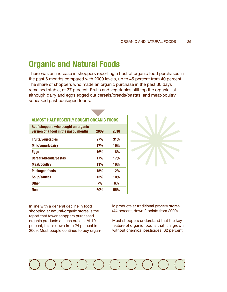## **Organic and Natural Foods**

There was an increase in shoppers reporting a host of organic food purchases in the past 6 months compared with 2009 levels, up to 45 percent from 40 percent. The share of shoppers who made an organic purchase in the past 30 days remained stable, at 37 percent. Fruits and vegetables still top the organic list, although dairy and eggs edged out cereals/breads/pastas, and meat/poultry squeaked past packaged foods.

| <b>ALMOST HALF RECENTLY BOUGHT ORGANIC FOODS</b>                              |            |      |  |
|-------------------------------------------------------------------------------|------------|------|--|
| % of shoppers who bought an organic<br>version of a food in the past 6 months | 2009       | 2010 |  |
| <b>Fruits/vegetables</b>                                                      | 27%        | 31%  |  |
| Milk/yogurt/dairy                                                             | 17%        | 19%  |  |
| <b>Eggs</b>                                                                   | 16%        | 18%  |  |
| <b>Cereals/breads/pastas</b>                                                  | <b>17%</b> | 17%  |  |
| Meat/poultry                                                                  | 11%        | 16%  |  |
| Packaged foods                                                                | 15%        | 12%  |  |
| Soup/sauces                                                                   | 13%        | 10%  |  |
| <b>Other</b>                                                                  | 7%         | 6%   |  |
| <b>None</b>                                                                   | 60%        | 55%  |  |



In line with a general decline in food shopping at natural/organic stores is the report that fewer shoppers purchased organic products at such outlets. At 19 percent, this is down from 24 percent in 2009. Most people continue to buy organic products at traditional grocery stores (44 percent, down 2 points from 2009).

Most shoppers understand that the key feature of organic food is that it is grown without chemical pesticides; 62 percent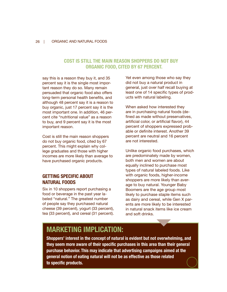## **COST IS STILL THE MAIN REASON SHOPPERS DO NOT BUY ORGANIC FOOD, CITED BY 67 PERCENT.**

say this is a reason they buy it, and 35 percent say it is the single most important reason they do so. Many remain persuaded that organic food also offers long-term personal health benefits, and although 48 percent say it is a reason to buy organic, just 17 percent say it is the most important one. In addition, 46 percent cite "nutritional value" as a reason to buy, and 9 percent say it is the most important reason.

Cost is still the main reason shoppers do not buy organic food, cited by 67 percent. This might explain why college graduates and those with higher incomes are more likely than average to have purchased organic products.

## **GETTING SPECIFIC ABOUT NATURAL FOODS**

Six in 10 shoppers report purchasing a food or beverage in the past year labeled "natural." The greatest number of people say they purchased natural cheese (39 percent), yogurt (33 percent), tea (33 percent), and cereal (31 percent). Yet even among those who say they did not buy a natural product in general, just over half recall buying at least one of 14 specific types of products with natural labeling.

When asked how interested they are in purchasing natural foods (defined as made without preservatives, artificial color, or artificial flavor), 44 percent of shoppers expressed probable or definite interest. Another 39 percent are neutral and 16 percent are not interested.

Unlike organic food purchases, which are predominately made by women, both men and women are about equally inclined to purchase most types of natural labeled foods. Like with organic foods, higher-income shoppers are more likely than average to buy natural. Younger Baby Boomers are the age group most likely to purchase staple items such as dairy and cereal, while Gen X parents are more likely to be interested in natural snack items like ice cream and soft drinks.

## **MARKETING IMPLICATION:**

**Shoppers' interest in the concept of natural is evident but not overwhelming, and they seem more aware of their specific purchases in this area than their general purchase behavior. This may indicate that advertising campaigns aimed at the general notion of eating natural will not be as effective as those related to specific products.**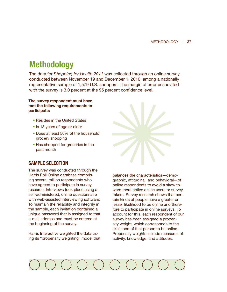## **Methodology**

The data for *Shopping for Health 2011* was collected through an online survey, conducted between November 19 and December 1, 2010, among a nationally representative sample of 1,579 U.S. shoppers. The margin of error associated with the survey is 3.0 percent at the 95 percent confidence level.

## **The survey respondent must have met the following requirements to participate:**

- Resides in the United States
- Is 18 years of age or older
- Does at least 50% of the household grocery shopping
- Has shopped for groceries in the past month



## **SAMPLE SELECTION**

The survey was conducted through the Harris Poll Online database comprising several million respondents who have agreed to participate in survey research. Interviews took place using a self-administered, online questionnaire with web-assisted interviewing software. To maintain the reliability and integrity in the sample, each invitation contained a unique password that is assigned to that e-mail address and must be entered at the beginning of the survey.

Harris Interactive weighted the data using its "propensity weighting" model that balances the characteristics—demographic, attitudinal, and behavioral—of online respondents to avoid a skew toward more active online users or survey takers. Survey research shows that certain kinds of people have a greater or lesser likelihood to be online and therefore to participate in online surveys. To account for this, each respondent of our survey has been assigned a propensity weight, which corresponds to the likelihood of that person to be online. Propensity weights include measures of activity, knowledge, and attitudes.

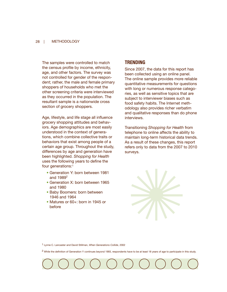### 28 | METHODOLOGY

The samples were controlled to match the census profile by income, ethnicity, age, and other factors. The survey was not controlled for gender of the respondent; rather, the male and female primary shoppers of households who met the other screening criteria were interviewed as they occurred in the population. The resultant sample is a nationwide cross section of grocery shoppers.

Age, lifestyle, and life stage all influence grocery shopping attitudes and behaviors. Age demographics are most easily understood in the context of generations, which combine collective traits or behaviors that exist among people of a certain age group. Throughout the study, differences by age and generation have been highlighted. *Shopping for Health*  uses the following years to define the four generations:1

- Generation Y: born between 1981 and 19892
- Generation X: born between 1965 and 1980
- Baby Boomers: born between 1946 and 1964
- Matures or 60+: born in 1945 or before

## **TRENDING**

Since 2007, the data for this report has been collected using an online panel. The online sample provides more reliable quantitative measurements for questions with long or numerous response categories, as well as sensitive topics that are subject to interviewer biases such as food safety habits. The Internet methodology also provides richer verbatim and qualitative responses than do phone interviews.

Transitioning *Shopping for Health* from telephone to online affects the ability to maintain long-term historical data trends. As a result of these changes, this report refers only to data from the 2007 to 2010 surveys.

1 Lynne C. Lancaster and David Stillman, *When Generations Collide*, 2002

2 While the definition of Generation Y continues beyond 1993, respondents have to be at least 18 years of age to participate in this study.

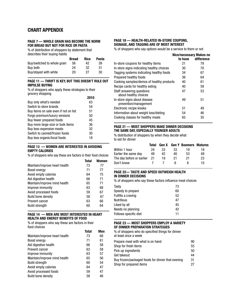## **CHART APPENDIX**

### **PAGE 7 — WHOLE GRAIN HAS BECOME THE NORM FOR BREAD BUT NOT FOR RICE OR PASTA**

% of distribution of shoppers by statement that describes their buying habits

|                             | <b>Bread</b> | <b>Rice</b> | Pasta |
|-----------------------------|--------------|-------------|-------|
| Buy/switched to whole grain | 56           | 42          | 39    |
| Buy both                    | 24           | -32.        | 31    |
| Buy/stayed with white       | 20           | 27          | 30    |

### **PAGE 11 — THRIFT IS KEY, BUT THIS DOESN'T RULE OUT IMPULSE BUYING**

% of shoppers who apply these strategies to their grocery shopping **2010**

|                                       | 2010 |
|---------------------------------------|------|
| Buy only what's needed                | 63   |
| Switch to store brands                | 54   |
| Buy items on sale even if not on list | 51   |
| Forgo premium/luxury versions         | 50   |
| Buy fewer prepared foods              | 45   |
| Buy more large-size or bulk items     | 36   |
| Buy less-expensive meats              | 32   |
| Switch to canned/frozen foods         | 30   |
| Buy less organic/local foods          | 18   |
|                                       |      |

### **PAGE 13 — WOMEN ARE INTERESTED IN AVOIDING EMPTY CALORIES**

% of shoppers who say these are factors in their food choices

|                               | <b>Total</b> | <b>Women</b> |
|-------------------------------|--------------|--------------|
| Maintain/improve heart health | 73           | 77           |
| Boost energy                  | 71           | 77           |
| Avoid empty calories          | 64           | 75           |
| Aid digestive health          | 66           | 71           |
| Maintain/improve mind health  | 65           | 71           |
| Improve immunity              | 63           | 68           |
| Avoid processed foods         | 59           | 67           |
| <b>Build bone density</b>     | 58           | 67           |
| Prevent cancer                | 63           | 66           |
| <b>Build strength</b>         | 60           | 64           |

### **PAGE 14 — MEN ARE MOST INTERESTED IN HEART HEALTH AND ENERGY BENEFITS OF FOOD**

% of shoppers who say these are factors in their food choices

|                               | Total | Men |
|-------------------------------|-------|-----|
| Maintain/improve heart health | 73    | 68  |
| Boost energy                  | 71    | 61  |
| Aid digestive health          | 66    | 58  |
| Prevent cancer                | 63    | 58  |
| Improve immunity              | 63    | 57  |
| Maintain/improve mind health  | 65    | 56  |
| <b>Build strength</b>         | 60    | 54  |
| Avoid empty calories          | 64    | 47  |
| Avoid processed foods         | 59    | 47  |
| <b>Build bone density</b>     | 58    | 46  |

## **PAGE 18 — HEALTH-RELATED IN-STORE COUPONS, SIGNAGE, AND TAGGING ARE OF MOST INTEREST**

% of shoppers who say options would be a service to them or not

|                                                       | Nice/necessary Makes no<br>to have | difference |
|-------------------------------------------------------|------------------------------------|------------|
| In-store coupons for healthy items                    | 21                                 | 79         |
| In-store signs indicating healthy choices             | 30                                 | 70         |
| Tagging systems indicating healthy foods              | 34                                 | 67         |
| Prepared healthy foods                                | 36                                 | 64         |
| Cooking samples/demos of healthy products             | 40                                 | 61         |
| Recipe cards for healthy eating                       | 40                                 | 59         |
| Staff answering questions<br>about healthy choices    | 47                                 | 53         |
| In-store signs about disease<br>prevention/management | 49                                 | 51         |
| Electronic recipe kiosks                              | 51                                 | 49         |
| Information about weight loss/dieting                 | 54                                 | 46         |
| Cooking classes for healthy meals                     | 65                                 | 35         |

### **PAGE 21 — MOST SHOPPERS MAKE DINNER DECISIONS THE SAME DAY, ESPECIALLY YOUNGER ADULTS**

% distribution of shoppers by when they decide what to eat for dinner

|                              | Total |    |    | <b>Gen X</b> Gen Y Boomers Matures |    |
|------------------------------|-------|----|----|------------------------------------|----|
| Within 1 hour                | 24    | 33 | 33 | 19                                 | 18 |
| Earlier the same day         | 48    | 42 | 40 | 53                                 | 48 |
| The day before or earlier 21 |       | 19 | 21 | 21                                 | 23 |
| Don't know                   |       |    | h  | 8                                  | 10 |

### **PAGE 22— TASTE AND SPEED OUTWEIGH HEALTH IN DINNER DECISIONS**

% of shoppers who say these factors influence meal choices

| Tasty                 | 73 |
|-----------------------|----|
| Speedy to prepare     | 60 |
| Fulfills a craving    | 52 |
| Nutritious            | 47 |
| Liked by all          | 45 |
| Needs no planning     | 42 |
| Follows specific diet | 11 |

### **PAGE 23 — MOST SHOPPERS EMPLOY A VARIETY OF DINNER PREPARATION STRATEGIES**

% of shoppers who do specified things for dinner at least once a week Prepare meal with what is on hand 90 Shop for fresh items 55 Pick up ingredients 50 Get takeout 44 Buy frozen/packaged foods for dinner that evening 31 Shop for prepared items 27